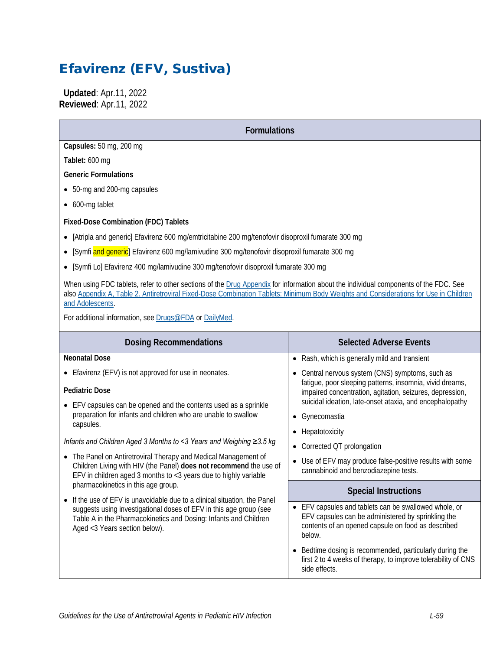# Efavirenz (EFV, Sustiva)

 **Updated**: Apr.11, 2022 **Reviewed**: Apr.11, 2022

**Formulations**

**Capsules:** 50 mg, 200 mg

**Tablet:** 600 mg

**Generic Formulations**

- 50-mg and 200-mg capsules
- 600-mg tablet

**Fixed-Dose Combination (FDC) Tablets**

- [Atripla and generic] Efavirenz 600 mg/emtricitabine 200 mg/tenofovir disoproxil fumarate 300 mg
- [Symfi and generic] Efavirenz 600 mg/lamivudine 300 mg/tenofovir disoproxil fumarate 300 mg
- [Symfi Lo] Efavirenz 400 mg/lamivudine 300 mg/tenofovir disoproxil fumarate 300 mg

When using FDC tablets, refer to other sections of the [Drug Appendix](https://clinicalinfo.hiv.gov/en/guidelines/pediatric-arv/overview-0) for information about the individual components of the FDC. See also [Appendix A, Table 2. Antiretroviral Fixed-Dose Combination Tablets: Minimum Body Weights and Considerations for Use in Children](https://clinicalinfo.hiv.gov/en/guidelines/pediatric-arv/appendix-table-2-antiretroviral-fixed-dose-combination-tablets-minimum)  [and Adolescents.](https://clinicalinfo.hiv.gov/en/guidelines/pediatric-arv/appendix-table-2-antiretroviral-fixed-dose-combination-tablets-minimum) 

For additional information, see [Drugs@FDA](https://www.accessdata.fda.gov/scripts/cder/daf/) or [DailyMed.](https://dailymed.nlm.nih.gov/dailymed/)

| <b>Dosing Recommendations</b>                                                                                                                                                                                                                      | <b>Selected Adverse Events</b>                                                                                                                                                   |  |
|----------------------------------------------------------------------------------------------------------------------------------------------------------------------------------------------------------------------------------------------------|----------------------------------------------------------------------------------------------------------------------------------------------------------------------------------|--|
| <b>Neonatal Dose</b>                                                                                                                                                                                                                               | Rash, which is generally mild and transient<br>$\bullet$                                                                                                                         |  |
| • Efavirenz (EFV) is not approved for use in neonates.                                                                                                                                                                                             | • Central nervous system (CNS) symptoms, such as                                                                                                                                 |  |
| <b>Pediatric Dose</b><br>EFV capsules can be opened and the contents used as a sprinkle                                                                                                                                                            | fatigue, poor sleeping patterns, insomnia, vivid dreams,<br>impaired concentration, agitation, seizures, depression,<br>suicidal ideation, late-onset ataxia, and encephalopathy |  |
| preparation for infants and children who are unable to swallow<br>capsules.                                                                                                                                                                        | • Gynecomastia                                                                                                                                                                   |  |
|                                                                                                                                                                                                                                                    | Hepatotoxicity                                                                                                                                                                   |  |
| Infants and Children Aged 3 Months to <3 Years and Weighing ≥3.5 kg                                                                                                                                                                                | • Corrected QT prolongation                                                                                                                                                      |  |
| The Panel on Antiretroviral Therapy and Medical Management of<br>$\bullet$<br>Children Living with HIV (the Panel) does not recommend the use of<br>EFV in children aged 3 months to $<$ 3 years due to highly variable                            | Use of EFV may produce false-positive results with some<br>$\bullet$<br>cannabinoid and benzodiazepine tests.                                                                    |  |
| pharmacokinetics in this age group.                                                                                                                                                                                                                | <b>Special Instructions</b>                                                                                                                                                      |  |
| If the use of EFV is unavoidable due to a clinical situation, the Panel<br>suggests using investigational doses of EFV in this age group (see<br>Table A in the Pharmacokinetics and Dosing: Infants and Children<br>Aged <3 Years section below). | • EFV capsules and tablets can be swallowed whole, or<br>EFV capsules can be administered by sprinkling the<br>contents of an opened capsule on food as described<br>below.      |  |
|                                                                                                                                                                                                                                                    | • Bedtime dosing is recommended, particularly during the<br>first 2 to 4 weeks of therapy, to improve tolerability of CNS<br>side effects.                                       |  |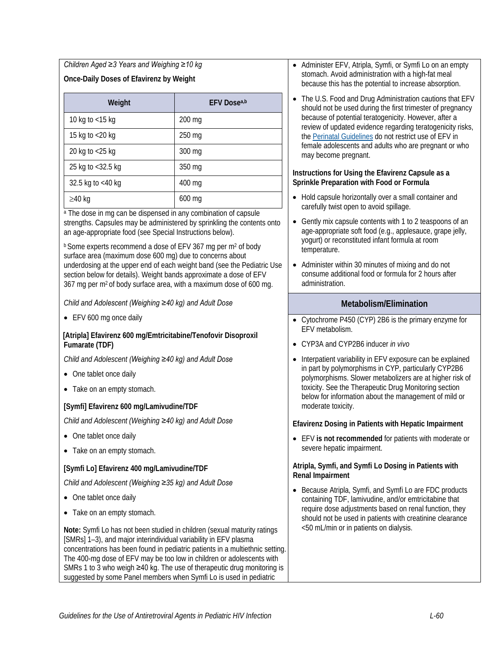*Children Aged ≥3 Years and Weighing ≥10 kg*  **Once-Daily Doses of Efavirenz by Weight**

| Weight               | <b>EFV Dosea,b</b> |
|----------------------|--------------------|
| 10 kg to <15 kg      | $200$ mg           |
| 15 kg to <20 kg      | 250 mg             |
| 20 kg to <25 kg      | 300 mg             |
| 25 kg to <32.5 kg    | 350 mg             |
| 32.5 kg to $<$ 40 kg | 400 mg             |
| $\geq$ 40 kg         | $600$ mg           |

<sup>a</sup> The dose in mg can be dispensed in any combination of capsule strengths. Capsules may be administered by sprinkling the contents onto an age-appropriate food (see Special Instructions below).

 $b$  Some experts recommend a dose of EFV 367 mg per m<sup>2</sup> of body surface area (maximum dose 600 mg) due to concerns about underdosing at the upper end of each weight band (see the Pediatric Use section below for details). Weight bands approximate a dose of EFV 367 mg per m2 of body surface area, with a maximum dose of 600 mg.

*Child and Adolescent (Weighing ≥40 kg) and Adult Dose*

• EFV 600 mg once daily

#### **[Atripla] Efavirenz 600 mg/Emtricitabine/Tenofovir Disoproxil Fumarate (TDF)**

*Child and Adolescent (Weighing ≥40 kg) and Adult Dose*

- One tablet once daily
- Take on an empty stomach.

#### **[Symfi] Efavirenz 600 mg/Lamivudine/TDF**

*Child and Adolescent (Weighing ≥40 kg) and Adult Dose*

- One tablet once daily
- Take on an empty stomach.

#### **[Symfi Lo] Efavirenz 400 mg/Lamivudine/TDF**

*Child and Adolescent (Weighing ≥35 kg) and Adult Dose*

- One tablet once daily
- Take on an empty stomach.

**Note:** Symfi Lo has not been studied in children (sexual maturity ratings [SMRs] 1–3), and major interindividual variability in EFV plasma concentrations has been found in pediatric patients in a multiethnic setting. The 400-mg dose of EFV may be too low in children or adolescents with SMRs 1 to 3 who weigh ≥40 kg. The use of therapeutic drug monitoring is suggested by some Panel members when Symfi Lo is used in pediatric

- Administer EFV, Atripla, Symfi, or Symfi Lo on an empty stomach. Avoid administration with a high-fat meal because this has the potential to increase absorption.
- The U.S. Food and Drug Administration cautions that EFV should not be used during the first trimester of pregnancy because of potential teratogenicity. However, after a review of updated evidence regarding teratogenicity risks, the [Perinatal Guidelines](https://clinicalinfo.hiv.gov/en/guidelines/perinatal/whats-new-guidelines) do not restrict use of EFV in female adolescents and adults who are pregnant or who may become pregnant.

#### **Instructions for Using the Efavirenz Capsule as a Sprinkle Preparation with Food or Formula**

- Hold capsule horizontally over a small container and carefully twist open to avoid spillage.
- Gently mix capsule contents with 1 to 2 teaspoons of an age-appropriate soft food (e.g., applesauce, grape jelly, yogurt) or reconstituted infant formula at room temperature.
- Administer within 30 minutes of mixing and do not consume additional food or formula for 2 hours after administration.

#### **Metabolism/Elimination**

- Cytochrome P450 (CYP) 2B6 is the primary enzyme for EFV metabolism.
- CYP3A and CYP2B6 inducer *in vivo*
- Interpatient variability in EFV exposure can be explained in part by polymorphisms in CYP, particularly CYP2B6 polymorphisms. Slower metabolizers are at higher risk of toxicity. See the Therapeutic Drug Monitoring section below for information about the management of mild or moderate toxicity.

#### **Efavirenz Dosing in Patients with Hepatic Impairment**

• EFV **is not recommended** for patients with moderate or severe hepatic impairment.

#### **Atripla, Symfi, and Symfi Lo Dosing in Patients with Renal Impairment**

• Because Atripla, Symfi, and Symfi Lo are FDC products containing TDF, lamivudine, and/or emtricitabine that require dose adjustments based on renal function, they should not be used in patients with creatinine clearance <50 mL/min or in patients on dialysis.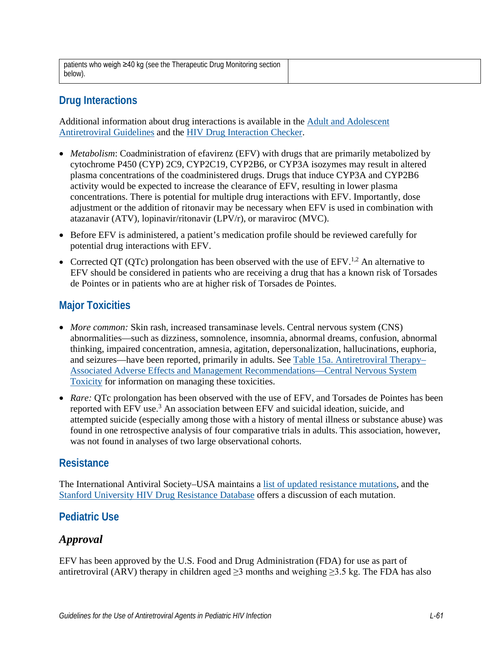| patients who weigh ≥40 kg (see the Therapeutic Drug Monitoring section |  |
|------------------------------------------------------------------------|--|
| below).                                                                |  |

# **Drug Interactions**

Additional information about drug interactions is available in the [Adult and Adolescent](https://clinicalinfo.hiv.gov/en/guidelines/adult-and-adolescent-arv/whats-new-guidelines)  [Antiretroviral Guidelines](https://clinicalinfo.hiv.gov/en/guidelines/adult-and-adolescent-arv/whats-new-guidelines) and the [HIV Drug Interaction Checker.](http://www.hiv-druginteractions.org/)

- *Metabolism:* Coadministration of efavirenz (EFV) with drugs that are primarily metabolized by cytochrome P450 (CYP) 2C9, CYP2C19, CYP2B6, or CYP3A isozymes may result in altered plasma concentrations of the coadministered drugs. Drugs that induce CYP3A and CYP2B6 activity would be expected to increase the clearance of EFV, resulting in lower plasma concentrations. There is potential for multiple drug interactions with EFV. Importantly, dose adjustment or the addition of ritonavir may be necessary when EFV is used in combination with atazanavir (ATV), lopinavir/ritonavir (LPV/r), or maraviroc (MVC).
- Before EFV is administered, a patient's medication profile should be reviewed carefully for potential drug interactions with EFV.
- Corrected QT (QTc) prolongation has been observed with the use of  $E F V^{1,2}$ . An alternative to EFV should be considered in patients who are receiving a drug that has a known risk of Torsades de Pointes or in patients who are at higher risk of Torsades de Pointes.

# **Major Toxicities**

- *More common:* Skin rash, increased transaminase levels. Central nervous system (CNS) abnormalities—such as dizziness, somnolence, insomnia, abnormal dreams, confusion, abnormal thinking, impaired concentration, amnesia, agitation, depersonalization, hallucinations, euphoria, and seizures—have been reported, primarily in adults. See [Table 15a. Antiretroviral Therapy–](https://clinicalinfo.hiv.gov/en/guidelines/pediatric-arv/cns-toxicity?view=full) [Associated Adverse Effects and Management Recommendations—Central Nervous System](https://clinicalinfo.hiv.gov/en/guidelines/pediatric-arv/cns-toxicity?view=full)  [Toxicity](https://clinicalinfo.hiv.gov/en/guidelines/pediatric-arv/cns-toxicity?view=full) for information on managing these toxicities.
- *Rare:* OTc prolongation has been observed with the use of EFV, and Torsades de Pointes has been reported with EFV use.<sup>3</sup> An association between EFV and suicidal ideation, suicide, and attempted suicide (especially among those with a history of mental illness or substance abuse) was found in one retrospective analysis of four comparative trials in adults. This association, however, was not found in analyses of two large observational cohorts.

### **Resistance**

The International Antiviral Society–USA maintains a [list of updated resistance mutations,](https://www.iasusa.org/resources/hiv-drug-resistance-mutations/) and the [Stanford University HIV Drug Resistance Database](http://hivdb.stanford.edu/DR/) offers a discussion of each mutation.

### **Pediatric Use**

### *Approval*

EFV has been approved by the U.S. Food and Drug Administration (FDA) for use as part of antiretroviral (ARV) therapy in children aged  $\geq$ 3 months and weighing  $\geq$ 3.5 kg. The FDA has also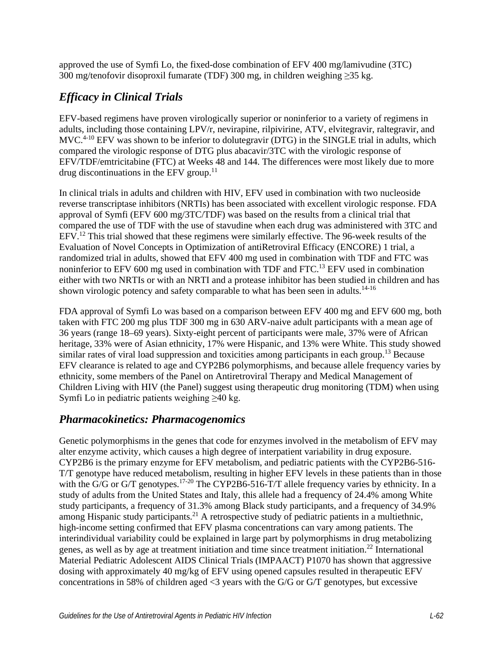approved the use of Symfi Lo, the fixed-dose combination of EFV 400 mg/lamivudine (3TC) 300 mg/tenofovir disoproxil fumarate (TDF) 300 mg, in children weighing  $\geq$ 35 kg.

# *Efficacy in Clinical Trials*

EFV-based regimens have proven virologically superior or noninferior to a variety of regimens in adults, including those containing LPV/r, nevirapine, rilpivirine, ATV, elvitegravir, raltegravir, and MVC.<sup>4-10</sup> EFV was shown to be inferior to dolutegravir (DTG) in the SINGLE trial in adults, which compared the virologic response of DTG plus abacavir/3TC with the virologic response of EFV/TDF/emtricitabine (FTC) at Weeks 48 and 144. The differences were most likely due to more drug discontinuations in the EFV group.<sup>11</sup>

In clinical trials in adults and children with HIV, EFV used in combination with two nucleoside reverse transcriptase inhibitors (NRTIs) has been associated with excellent virologic response. FDA approval of Symfi (EFV 600 mg/3TC/TDF) was based on the results from a clinical trial that compared the use of TDF with the use of stavudine when each drug was administered with 3TC and EFV.<sup>12</sup> This trial showed that these regimens were similarly effective. The 96-week results of the Evaluation of Novel Concepts in Optimization of antiRetroviral Efficacy (ENCORE) 1 trial, a randomized trial in adults, showed that EFV 400 mg used in combination with TDF and FTC was noninferior to EFV 600 mg used in combination with TDF and FTC.<sup>13</sup> EFV used in combination either with two NRTIs or with an NRTI and a protease inhibitor has been studied in children and has shown virologic potency and safety comparable to what has been seen in adults.<sup>14-16</sup>

FDA approval of Symfi Lo was based on a comparison between EFV 400 mg and EFV 600 mg, both taken with FTC 200 mg plus TDF 300 mg in 630 ARV-naive adult participants with a mean age of 36 years (range 18–69 years). Sixty-eight percent of participants were male, 37% were of African heritage, 33% were of Asian ethnicity, 17% were Hispanic, and 13% were White. This study showed similar rates of viral load suppression and toxicities among participants in each group.<sup>13</sup> Because EFV clearance is related to age and CYP2B6 polymorphisms, and because allele frequency varies by ethnicity, some members of the Panel on Antiretroviral Therapy and Medical Management of Children Living with HIV (the Panel) suggest using therapeutic drug monitoring (TDM) when using Symfi Lo in pediatric patients weighing  $\geq 40$  kg.

### *Pharmacokinetics: Pharmacogenomics*

Genetic polymorphisms in the genes that code for enzymes involved in the metabolism of EFV may alter enzyme activity, which causes a high degree of interpatient variability in drug exposure. CYP2B6 is the primary enzyme for EFV metabolism, and pediatric patients with the CYP2B6-516- T/T genotype have reduced metabolism, resulting in higher EFV levels in these patients than in those with the G/G or G/T genotypes.<sup>17-20</sup> The CYP2B6-516-T/T allele frequency varies by ethnicity. In a study of adults from the United States and Italy, this allele had a frequency of 24.4% among White study participants, a frequency of 31.3% among Black study participants, and a frequency of 34.9% among Hispanic study participants.<sup>21</sup> A retrospective study of pediatric patients in a multiethnic, high-income setting confirmed that EFV plasma concentrations can vary among patients. The interindividual variability could be explained in large part by polymorphisms in drug metabolizing genes, as well as by age at treatment initiation and time since treatment initiation.22 International Material Pediatric Adolescent AIDS Clinical Trials (IMPAACT) P1070 has shown that aggressive dosing with approximately 40 mg/kg of EFV using opened capsules resulted in therapeutic EFV concentrations in 58% of children aged  $\leq$ 3 years with the G/G or G/T genotypes, but excessive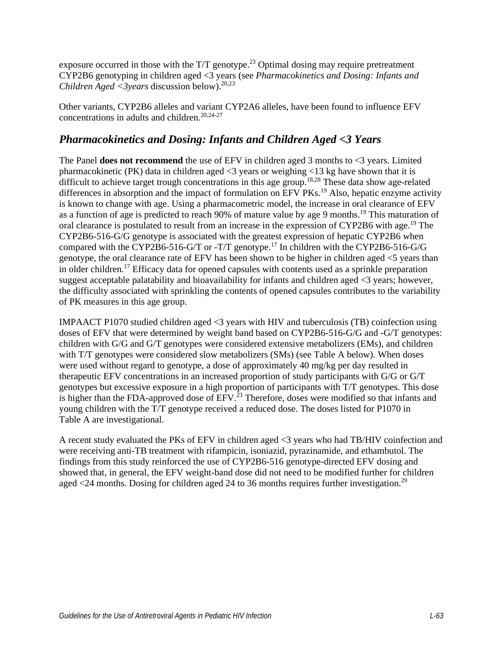exposure occurred in those with the  $T/T$  genotype.<sup>23</sup> Optimal dosing may require pretreatment CYP2B6 genotyping in children aged <3 years (see *Pharmacokinetics and Dosing: Infants and Children Aged <3years* discussion below).20,23

Other variants, CYP2B6 alleles and variant CYP2A6 alleles, have been found to influence EFV concentrations in adults and children.<sup>20,24-27</sup>

### *Pharmacokinetics and Dosing: Infants and Children Aged <3 Years*

The Panel **does not recommend** the use of EFV in children aged 3 months to <3 years. Limited pharmacokinetic (PK) data in children aged <3 years or weighing <13 kg have shown that it is difficult to achieve target trough concentrations in this age group.<sup>18,28</sup> These data show age-related differences in absorption and the impact of formulation on EFV PKs.<sup>19</sup> Also, hepatic enzyme activity is known to change with age. Using a pharmacometric model, the increase in oral clearance of EFV as a function of age is predicted to reach 90% of mature value by age 9 months.<sup>19</sup> This maturation of oral clearance is postulated to result from an increase in the expression of CYP2B6 with age.<sup>19</sup> The CYP2B6-516-G/G genotype is associated with the greatest expression of hepatic CYP2B6 when compared with the CYP2B6-516-G/T or -T/T genotype.17 In children with the CYP2B6-516-G/G genotype, the oral clearance rate of EFV has been shown to be higher in children aged <5 years than in older children.<sup>17</sup> Efficacy data for opened capsules with contents used as a sprinkle preparation suggest acceptable palatability and bioavailability for infants and children aged <3 years; however, the difficulty associated with sprinkling the contents of opened capsules contributes to the variability of PK measures in this age group.

IMPAACT P1070 studied children aged <3 years with HIV and tuberculosis (TB) coinfection using doses of EFV that were determined by weight band based on CYP2B6-516-G/G and -G/T genotypes: children with G/G and G/T genotypes were considered extensive metabolizers (EMs), and children with T/T genotypes were considered slow metabolizers (SMs) (see Table A below). When doses were used without regard to genotype, a dose of approximately 40 mg/kg per day resulted in therapeutic EFV concentrations in an increased proportion of study participants with G/G or G/T genotypes but excessive exposure in a high proportion of participants with T/T genotypes. This dose is higher than the FDA-approved dose of EFV.<sup>23</sup> Therefore, doses were modified so that infants and young children with the T/T genotype received a reduced dose. The doses listed for P1070 in Table A are investigational.

A recent study evaluated the PKs of EFV in children aged <3 years who had TB/HIV coinfection and were receiving anti-TB treatment with rifampicin, isoniazid, pyrazinamide, and ethambutol. The findings from this study reinforced the use of CYP2B6-516 genotype-directed EFV dosing and showed that, in general, the EFV weight-band dose did not need to be modified further for children aged  $\langle 24 \rangle$  months. Dosing for children aged 24 to 36 months requires further investigation.<sup>29</sup>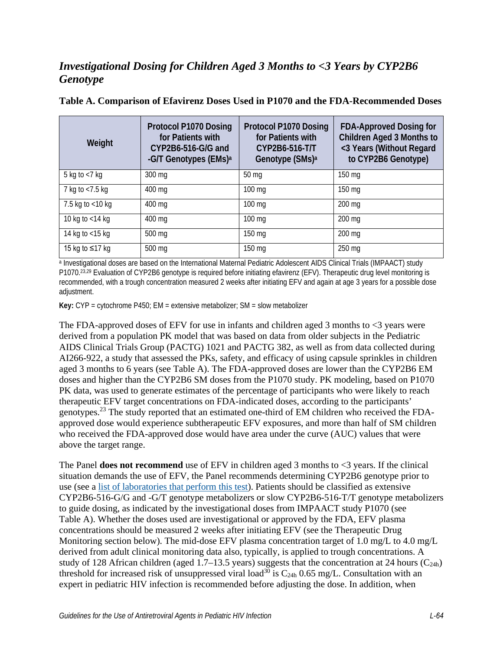# *Investigational Dosing for Children Aged 3 Months to <3 Years by CYP2B6 Genotype*

| Weight              | <b>Protocol P1070 Dosing</b><br>for Patients with<br>CYP2B6-516-G/G and<br>-G/T Genotypes (EMs) <sup>a</sup> | <b>Protocol P1070 Dosing</b><br>for Patients with<br>CYP2B6-516-T/T<br>Genotype (SMs) <sup>a</sup> | <b>FDA-Approved Dosing for</b><br><b>Children Aged 3 Months to</b><br><3 Years (Without Regard<br>to CYP2B6 Genotype) |
|---------------------|--------------------------------------------------------------------------------------------------------------|----------------------------------------------------------------------------------------------------|-----------------------------------------------------------------------------------------------------------------------|
| 5 kg to $<$ 7 kg    | 300 mg                                                                                                       | 50 <sub>mg</sub>                                                                                   | 150 mg                                                                                                                |
| 7 kg to $<$ 7.5 kg  | 400 mg                                                                                                       | $100 \text{ mg}$                                                                                   | 150 mg                                                                                                                |
| 7.5 kg to $<$ 10 kg | 400 mg                                                                                                       | $100 \text{ mg}$                                                                                   | 200 mg                                                                                                                |
| 10 kg to $<$ 14 kg  | 400 mg                                                                                                       | $100 \,\mathrm{mg}$                                                                                | 200 mg                                                                                                                |
| 14 kg to $<$ 15 kg  | 500 mg                                                                                                       | $150 \,\mathrm{mg}$                                                                                | 200 mg                                                                                                                |
| 15 kg to ≤17 kg     | 500 mg                                                                                                       | $150 \,\mathrm{mg}$                                                                                | 250 mg                                                                                                                |

#### **Table A. Comparison of Efavirenz Doses Used in P1070 and the FDA-Recommended Doses**

<sup>a</sup> Investigational doses are based on the International Maternal Pediatric Adolescent AIDS Clinical Trials (IMPAACT) study P1070.<sup>23,29</sup> Evaluation of CYP2B6 genotype is required before initiating efavirenz (EFV). Therapeutic drug level monitoring is recommended, with a trough concentration measured 2 weeks after initiating EFV and again at age 3 years for a possible dose adjustment.

**Key:** CYP = cytochrome P450; EM = extensive metabolizer; SM = slow metabolizer

The FDA-approved doses of EFV for use in infants and children aged 3 months to  $\leq$ 3 years were derived from a population PK model that was based on data from older subjects in the Pediatric AIDS Clinical Trials Group (PACTG) 1021 and PACTG 382, as well as from data collected during AI266-922, a study that assessed the PKs, safety, and efficacy of using capsule sprinkles in children aged 3 months to 6 years (see Table A). The FDA-approved doses are lower than the CYP2B6 EM doses and higher than the CYP2B6 SM doses from the P1070 study. PK modeling, based on P1070 PK data, was used to generate estimates of the percentage of participants who were likely to reach therapeutic EFV target concentrations on FDA-indicated doses, according to the participants' genotypes.23 The study reported that an estimated one-third of EM children who received the FDAapproved dose would experience subtherapeutic EFV exposures, and more than half of SM children who received the FDA-approved dose would have area under the curve (AUC) values that were above the target range.

The Panel **does not recommend** use of EFV in children aged 3 months to <3 years. If the clinical situation demands the use of EFV, the Panel recommends determining CYP2B6 genotype prior to use (see a [list of laboratories that perform this test\)](https://www.ncbi.nlm.nih.gov/gtr/all/tests/?term=C3281153&filter=testtype:clinical). Patients should be classified as extensive CYP2B6-516-G/G and -G/T genotype metabolizers or slow CYP2B6-516-T/T genotype metabolizers to guide dosing, as indicated by the investigational doses from IMPAACT study P1070 (see Table A). Whether the doses used are investigational or approved by the FDA, EFV plasma concentrations should be measured 2 weeks after initiating EFV (see the Therapeutic Drug Monitoring section below). The mid-dose EFV plasma concentration target of 1.0 mg/L to 4.0 mg/L derived from adult clinical monitoring data also, typically, is applied to trough concentrations. A study of 128 African children (aged 1.7–13.5 years) suggests that the concentration at 24 hours  $(C_{24h})$ threshold for increased risk of unsuppressed viral load<sup>30</sup> is  $C_{24h}$  0.65 mg/L. Consultation with an expert in pediatric HIV infection is recommended before adjusting the dose. In addition, when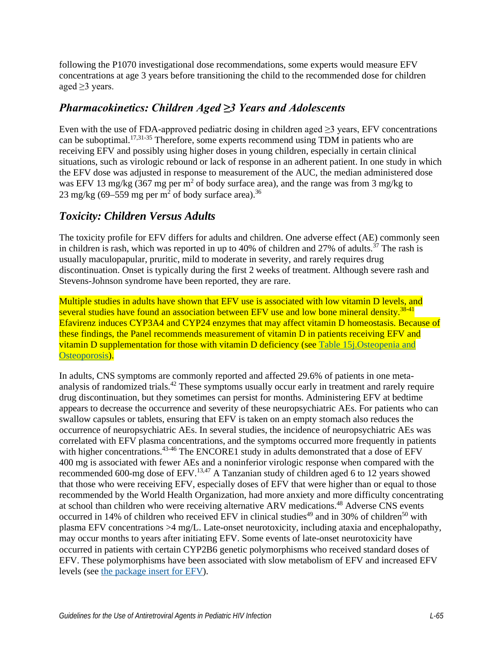following the P1070 investigational dose recommendations, some experts would measure EFV concentrations at age 3 years before transitioning the child to the recommended dose for children aged ≥3 years.

### *Pharmacokinetics: Children Aged ≥3 Years and Adolescents*

Even with the use of FDA-approved pediatric dosing in children aged  $\geq$ 3 years, EFV concentrations can be suboptimal.<sup>17,31-35</sup> Therefore, some experts recommend using TDM in patients who are receiving EFV and possibly using higher doses in young children, especially in certain clinical situations, such as virologic rebound or lack of response in an adherent patient. In one study in which the EFV dose was adjusted in response to measurement of the AUC, the median administered dose was EFV 13 mg/kg (367 mg per  $\text{m}^2$  of body surface area), and the range was from 3 mg/kg to 23 mg/kg (69–559 mg per m<sup>2</sup> of body surface area).<sup>36</sup>

### *Toxicity: Children Versus Adults*

The toxicity profile for EFV differs for adults and children. One adverse effect (AE) commonly seen in children is rash, which was reported in up to 40% of children and 27% of adults.<sup>37</sup> The rash is usually maculopapular, pruritic, mild to moderate in severity, and rarely requires drug discontinuation. Onset is typically during the first 2 weeks of treatment. Although severe rash and Stevens-Johnson syndrome have been reported, they are rare.

Multiple studies in adults have shown that EFV use is associated with low vitamin D levels, and several studies have found an association between EFV use and low bone mineral density.<sup>38-41</sup> Efavirenz induces CYP3A4 and CYP24 enzymes that may affect vitamin D homeostasis. Because of these findings, the Panel recommends measurement of vitamin D in patients receiving EFV and vitamin D supplementation for those with vitamin D deficiency (see [Table 15j.Osteopenia and](https://clinicalinfo.hiv.gov/en/table/table-15j-antiretroviral-therapy-associated-adverse-effects-and-management-recommendations)  [Osteoporosis\)](https://clinicalinfo.hiv.gov/en/table/table-15j-antiretroviral-therapy-associated-adverse-effects-and-management-recommendations).

In adults, CNS symptoms are commonly reported and affected 29.6% of patients in one metaanalysis of randomized trials.<sup>42</sup> These symptoms usually occur early in treatment and rarely require drug discontinuation, but they sometimes can persist for months. Administering EFV at bedtime appears to decrease the occurrence and severity of these neuropsychiatric AEs. For patients who can swallow capsules or tablets, ensuring that EFV is taken on an empty stomach also reduces the occurrence of neuropsychiatric AEs. In several studies, the incidence of neuropsychiatric AEs was correlated with EFV plasma concentrations, and the symptoms occurred more frequently in patients with higher concentrations.<sup>43-46</sup> The ENCORE1 study in adults demonstrated that a dose of EFV 400 mg is associated with fewer AEs and a noninferior virologic response when compared with the recommended 600-mg dose of EFV.<sup>13,47</sup> A Tanzanian study of children aged 6 to 12 years showed that those who were receiving EFV, especially doses of EFV that were higher than or equal to those recommended by the World Health Organization, had more anxiety and more difficulty concentrating at school than children who were receiving alternative ARV medications.<sup>48</sup> Adverse CNS events occurred in 14% of children who received EFV in clinical studies<sup>49</sup> and in 30% of children<sup>50</sup> with plasma EFV concentrations >4 mg/L. Late-onset neurotoxicity, including ataxia and encephalopathy, may occur months to years after initiating EFV. Some events of late-onset neurotoxicity have occurred in patients with certain CYP2B6 genetic polymorphisms who received standard doses of EFV. These polymorphisms have been associated with slow metabolism of EFV and increased EFV levels (see [the package insert for EFV\)](https://www.accessdata.fda.gov/drugsatfda_docs/label/2019/020972s057,021360s045lbl.pdf).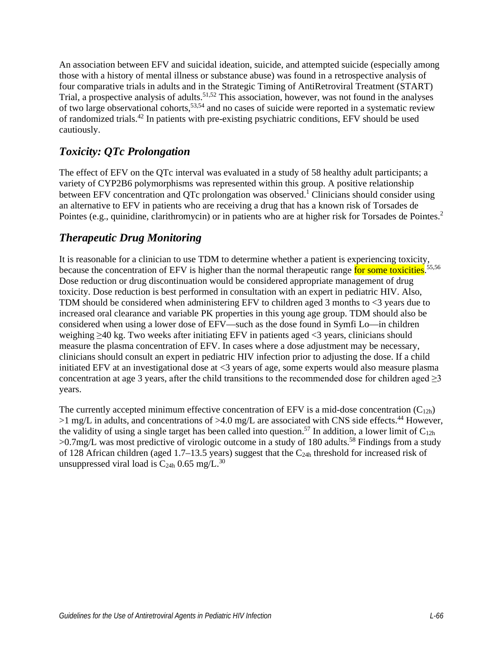An association between EFV and suicidal ideation, suicide, and attempted suicide (especially among those with a history of mental illness or substance abuse) was found in a retrospective analysis of four comparative trials in adults and in the Strategic Timing of AntiRetroviral Treatment (START) Trial, a prospective analysis of adults.<sup>51,52</sup> This association, however, was not found in the analyses of two large observational cohorts,53,54 and no cases of suicide were reported in a systematic review of randomized trials.42 In patients with pre-existing psychiatric conditions, EFV should be used cautiously.

### *Toxicity: QTc Prolongation*

The effect of EFV on the QTc interval was evaluated in a study of 58 healthy adult participants; a variety of CYP2B6 polymorphisms was represented within this group. A positive relationship between EFV concentration and QTc prolongation was observed.<sup>1</sup> Clinicians should consider using an alternative to EFV in patients who are receiving a drug that has a known risk of Torsades de Pointes (e.g., quinidine, clarithromycin) or in patients who are at higher risk for Torsades de Pointes.<sup>2</sup>

### *Therapeutic Drug Monitoring*

It is reasonable for a clinician to use TDM to determine whether a patient is experiencing toxicity, because the concentration of EFV is higher than the normal therapeutic range for some toxicities.<sup>55,56</sup> Dose reduction or drug discontinuation would be considered appropriate management of drug toxicity. Dose reduction is best performed in consultation with an expert in pediatric HIV. Also, TDM should be considered when administering EFV to children aged 3 months to <3 years due to increased oral clearance and variable PK properties in this young age group. TDM should also be considered when using a lower dose of EFV—such as the dose found in Symfi Lo—in children weighing ≥40 kg. Two weeks after initiating EFV in patients aged <3 years, clinicians should measure the plasma concentration of EFV. In cases where a dose adjustment may be necessary, clinicians should consult an expert in pediatric HIV infection prior to adjusting the dose. If a child initiated EFV at an investigational dose at <3 years of age, some experts would also measure plasma concentration at age 3 years, after the child transitions to the recommended dose for children aged  $\geq 3$ years.

The currently accepted minimum effective concentration of EFV is a mid-dose concentration  $(C_{12h})$  $>1$  mg/L in adults, and concentrations of  $>4.0$  mg/L are associated with CNS side effects.<sup>44</sup> However, the validity of using a single target has been called into question.<sup>57</sup> In addition, a lower limit of  $C_{12h}$  $>0.7$ mg/L was most predictive of virologic outcome in a study of 180 adults.<sup>58</sup> Findings from a study of 128 African children (aged 1.7–13.5 years) suggest that the  $C_{24h}$  threshold for increased risk of unsuppressed viral load is  $C_{24h}$  0.65 mg/L.<sup>30</sup>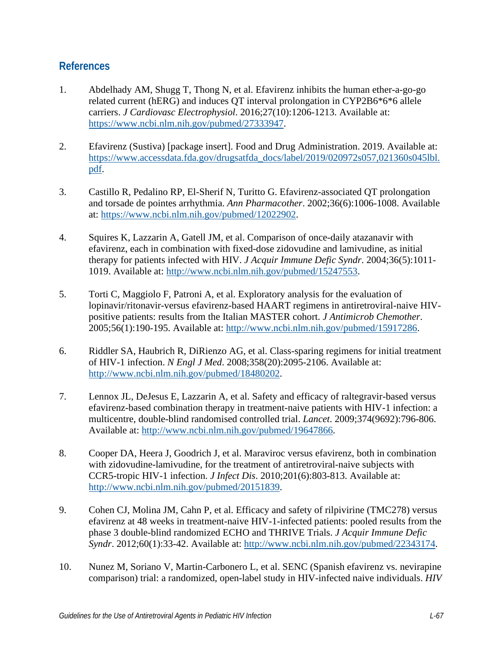#### **References**

- 1. Abdelhady AM, Shugg T, Thong N, et al. Efavirenz inhibits the human ether-a-go-go related current (hERG) and induces QT interval prolongation in CYP2B6\*6\*6 allele carriers. *J Cardiovasc Electrophysiol*. 2016;27(10):1206-1213. Available at: [https://www.ncbi.nlm.nih.gov/pubmed/27333947.](https://www.ncbi.nlm.nih.gov/pubmed/27333947)
- 2. Efavirenz (Sustiva) [package insert]. Food and Drug Administration. 2019. Available at: [https://www.accessdata.fda.gov/drugsatfda\\_docs/label/2019/020972s057,021360s045lbl.](https://www.accessdata.fda.gov/drugsatfda_docs/label/2019/020972s057,021360s045lbl.pdf) [pdf.](https://www.accessdata.fda.gov/drugsatfda_docs/label/2019/020972s057,021360s045lbl.pdf)
- 3. Castillo R, Pedalino RP, El-Sherif N, Turitto G. Efavirenz-associated QT prolongation and torsade de pointes arrhythmia. *Ann Pharmacother*. 2002;36(6):1006-1008. Available at: [https://www.ncbi.nlm.nih.gov/pubmed/12022902.](https://www.ncbi.nlm.nih.gov/pubmed/12022902)
- 4. Squires K, Lazzarin A, Gatell JM, et al. Comparison of once-daily atazanavir with efavirenz, each in combination with fixed-dose zidovudine and lamivudine, as initial therapy for patients infected with HIV. *J Acquir Immune Defic Syndr*. 2004;36(5):1011- 1019. Available at: [http://www.ncbi.nlm.nih.gov/pubmed/15247553.](http://www.ncbi.nlm.nih.gov/pubmed/15247553)
- 5. Torti C, Maggiolo F, Patroni A, et al. Exploratory analysis for the evaluation of lopinavir/ritonavir-versus efavirenz-based HAART regimens in antiretroviral-naive HIVpositive patients: results from the Italian MASTER cohort. *J Antimicrob Chemother*. 2005;56(1):190-195. Available at: [http://www.ncbi.nlm.nih.gov/pubmed/15917286.](http://www.ncbi.nlm.nih.gov/pubmed/15917286)
- 6. Riddler SA, Haubrich R, DiRienzo AG, et al. Class-sparing regimens for initial treatment of HIV-1 infection. *N Engl J Med*. 2008;358(20):2095-2106. Available at: [http://www.ncbi.nlm.nih.gov/pubmed/18480202.](http://www.ncbi.nlm.nih.gov/pubmed/18480202)
- 7. Lennox JL, DeJesus E, Lazzarin A, et al. Safety and efficacy of raltegravir-based versus efavirenz-based combination therapy in treatment-naive patients with HIV-1 infection: a multicentre, double-blind randomised controlled trial. *Lancet*. 2009;374(9692):796-806. Available at: [http://www.ncbi.nlm.nih.gov/pubmed/19647866.](http://www.ncbi.nlm.nih.gov/pubmed/19647866)
- 8. Cooper DA, Heera J, Goodrich J, et al. Maraviroc versus efavirenz, both in combination with zidovudine-lamivudine, for the treatment of antiretroviral-naive subjects with CCR5-tropic HIV-1 infection. *J Infect Dis*. 2010;201(6):803-813. Available at: [http://www.ncbi.nlm.nih.gov/pubmed/20151839.](http://www.ncbi.nlm.nih.gov/pubmed/20151839)
- 9. Cohen CJ, Molina JM, Cahn P, et al. Efficacy and safety of rilpivirine (TMC278) versus efavirenz at 48 weeks in treatment-naive HIV-1-infected patients: pooled results from the phase 3 double-blind randomized ECHO and THRIVE Trials. *J Acquir Immune Defic Syndr*. 2012;60(1):33-42. Available at: [http://www.ncbi.nlm.nih.gov/pubmed/22343174.](http://www.ncbi.nlm.nih.gov/pubmed/22343174)
- 10. Nunez M, Soriano V, Martin-Carbonero L, et al. SENC (Spanish efavirenz vs. nevirapine comparison) trial: a randomized, open-label study in HIV-infected naive individuals. *HIV*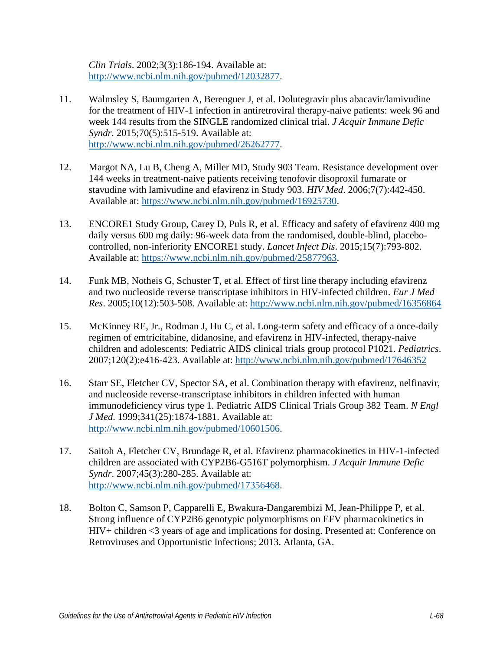*Clin Trials*. 2002;3(3):186-194. Available at: [http://www.ncbi.nlm.nih.gov/pubmed/12032877.](http://www.ncbi.nlm.nih.gov/pubmed/12032877)

- 11. Walmsley S, Baumgarten A, Berenguer J, et al. Dolutegravir plus abacavir/lamivudine for the treatment of HIV-1 infection in antiretroviral therapy-naive patients: week 96 and week 144 results from the SINGLE randomized clinical trial. *J Acquir Immune Defic Syndr*. 2015;70(5):515-519. Available at: [http://www.ncbi.nlm.nih.gov/pubmed/26262777.](http://www.ncbi.nlm.nih.gov/pubmed/26262777)
- 12. Margot NA, Lu B, Cheng A, Miller MD, Study 903 Team. Resistance development over 144 weeks in treatment-naive patients receiving tenofovir disoproxil fumarate or stavudine with lamivudine and efavirenz in Study 903. *HIV Med*. 2006;7(7):442-450. Available at: [https://www.ncbi.nlm.nih.gov/pubmed/16925730.](https://www.ncbi.nlm.nih.gov/pubmed/16925730)
- 13. ENCORE1 Study Group, Carey D, Puls R, et al. Efficacy and safety of efavirenz 400 mg daily versus 600 mg daily: 96-week data from the randomised, double-blind, placebocontrolled, non-inferiority ENCORE1 study. *Lancet Infect Dis*. 2015;15(7):793-802. Available at: [https://www.ncbi.nlm.nih.gov/pubmed/25877963.](https://www.ncbi.nlm.nih.gov/pubmed/25877963)
- 14. Funk MB, Notheis G, Schuster T, et al. Effect of first line therapy including efavirenz and two nucleoside reverse transcriptase inhibitors in HIV-infected children. *Eur J Med Res*. 2005;10(12):503-508. Available at:<http://www.ncbi.nlm.nih.gov/pubmed/16356864>
- 15. McKinney RE, Jr., Rodman J, Hu C, et al. Long-term safety and efficacy of a once-daily regimen of emtricitabine, didanosine, and efavirenz in HIV-infected, therapy-naive children and adolescents: Pediatric AIDS clinical trials group protocol P1021. *Pediatrics*. 2007;120(2):e416-423. Available at:<http://www.ncbi.nlm.nih.gov/pubmed/17646352>
- 16. Starr SE, Fletcher CV, Spector SA, et al. Combination therapy with efavirenz, nelfinavir, and nucleoside reverse-transcriptase inhibitors in children infected with human immunodeficiency virus type 1. Pediatric AIDS Clinical Trials Group 382 Team. *N Engl J Med*. 1999;341(25):1874-1881. Available at: [http://www.ncbi.nlm.nih.gov/pubmed/10601506.](http://www.ncbi.nlm.nih.gov/pubmed/10601506)
- 17. Saitoh A, Fletcher CV, Brundage R, et al. Efavirenz pharmacokinetics in HIV-1-infected children are associated with CYP2B6-G516T polymorphism. *J Acquir Immune Defic Syndr*. 2007;45(3):280-285. Available at: [http://www.ncbi.nlm.nih.gov/pubmed/17356468.](http://www.ncbi.nlm.nih.gov/pubmed/17356468)
- 18. Bolton C, Samson P, Capparelli E, Bwakura-Dangarembizi M, Jean-Philippe P, et al. Strong influence of CYP2B6 genotypic polymorphisms on EFV pharmacokinetics in HIV+ children <3 years of age and implications for dosing. Presented at: Conference on Retroviruses and Opportunistic Infections; 2013. Atlanta, GA.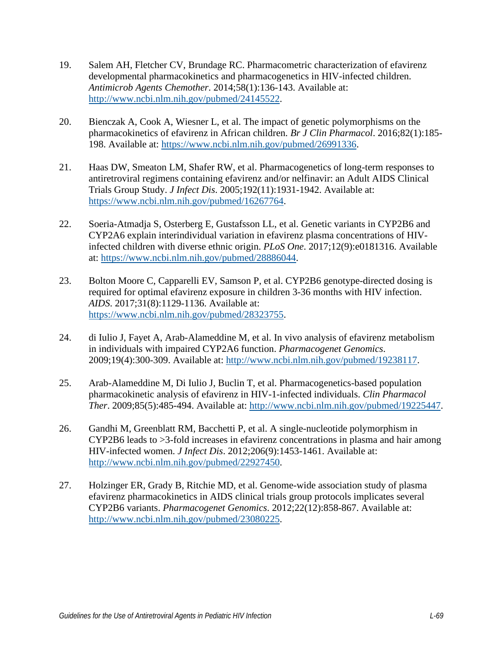- 19. Salem AH, Fletcher CV, Brundage RC. Pharmacometric characterization of efavirenz developmental pharmacokinetics and pharmacogenetics in HIV-infected children. *Antimicrob Agents Chemother*. 2014;58(1):136-143. Available at: [http://www.ncbi.nlm.nih.gov/pubmed/24145522.](http://www.ncbi.nlm.nih.gov/pubmed/24145522)
- 20. Bienczak A, Cook A, Wiesner L, et al. The impact of genetic polymorphisms on the pharmacokinetics of efavirenz in African children. *Br J Clin Pharmacol*. 2016;82(1):185- 198. Available at: [https://www.ncbi.nlm.nih.gov/pubmed/26991336.](https://www.ncbi.nlm.nih.gov/pubmed/26991336)
- 21. Haas DW, Smeaton LM, Shafer RW, et al. Pharmacogenetics of long-term responses to antiretroviral regimens containing efavirenz and/or nelfinavir: an Adult AIDS Clinical Trials Group Study. *J Infect Dis*. 2005;192(11):1931-1942. Available at: [https://www.ncbi.nlm.nih.gov/pubmed/16267764.](https://www.ncbi.nlm.nih.gov/pubmed/16267764)
- 22. Soeria-Atmadja S, Osterberg E, Gustafsson LL, et al. Genetic variants in CYP2B6 and CYP2A6 explain interindividual variation in efavirenz plasma concentrations of HIVinfected children with diverse ethnic origin. *PLoS One*. 2017;12(9):e0181316. Available at: [https://www.ncbi.nlm.nih.gov/pubmed/28886044.](https://www.ncbi.nlm.nih.gov/pubmed/28886044)
- 23. Bolton Moore C, Capparelli EV, Samson P, et al. CYP2B6 genotype-directed dosing is required for optimal efavirenz exposure in children 3-36 months with HIV infection. *AIDS*. 2017;31(8):1129-1136. Available at: [https://www.ncbi.nlm.nih.gov/pubmed/28323755.](https://www.ncbi.nlm.nih.gov/pubmed/28323755)
- 24. di Iulio J, Fayet A, Arab-Alameddine M, et al. In vivo analysis of efavirenz metabolism in individuals with impaired CYP2A6 function. *Pharmacogenet Genomics*. 2009;19(4):300-309. Available at: [http://www.ncbi.nlm.nih.gov/pubmed/19238117.](http://www.ncbi.nlm.nih.gov/pubmed/19238117)
- 25. Arab-Alameddine M, Di Iulio J, Buclin T, et al. Pharmacogenetics-based population pharmacokinetic analysis of efavirenz in HIV-1-infected individuals. *Clin Pharmacol Ther*. 2009;85(5):485-494. Available at: [http://www.ncbi.nlm.nih.gov/pubmed/19225447.](http://www.ncbi.nlm.nih.gov/pubmed/19225447)
- 26. Gandhi M, Greenblatt RM, Bacchetti P, et al. A single-nucleotide polymorphism in CYP2B6 leads to >3-fold increases in efavirenz concentrations in plasma and hair among HIV-infected women. *J Infect Dis*. 2012;206(9):1453-1461. Available at: [http://www.ncbi.nlm.nih.gov/pubmed/22927450.](http://www.ncbi.nlm.nih.gov/pubmed/22927450)
- 27. Holzinger ER, Grady B, Ritchie MD, et al. Genome-wide association study of plasma efavirenz pharmacokinetics in AIDS clinical trials group protocols implicates several CYP2B6 variants. *Pharmacogenet Genomics*. 2012;22(12):858-867. Available at: [http://www.ncbi.nlm.nih.gov/pubmed/23080225.](http://www.ncbi.nlm.nih.gov/pubmed/23080225)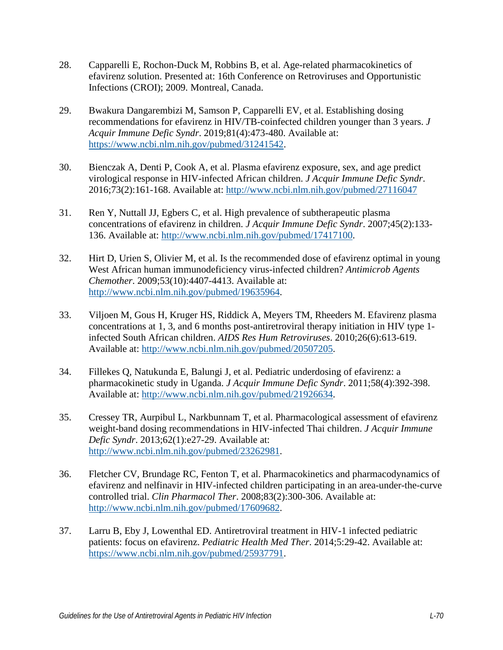- 28. Capparelli E, Rochon-Duck M, Robbins B, et al. Age-related pharmacokinetics of efavirenz solution. Presented at: 16th Conference on Retroviruses and Opportunistic Infections (CROI); 2009. Montreal, Canada.
- 29. Bwakura Dangarembizi M, Samson P, Capparelli EV, et al. Establishing dosing recommendations for efavirenz in HIV/TB-coinfected children younger than 3 years. *J Acquir Immune Defic Syndr*. 2019;81(4):473-480. Available at: [https://www.ncbi.nlm.nih.gov/pubmed/31241542.](https://www.ncbi.nlm.nih.gov/pubmed/31241542)
- 30. Bienczak A, Denti P, Cook A, et al. Plasma efavirenz exposure, sex, and age predict virological response in HIV-infected African children. *J Acquir Immune Defic Syndr*. 2016;73(2):161-168. Available at:<http://www.ncbi.nlm.nih.gov/pubmed/27116047>
- 31. Ren Y, Nuttall JJ, Egbers C, et al. High prevalence of subtherapeutic plasma concentrations of efavirenz in children. *J Acquir Immune Defic Syndr*. 2007;45(2):133- 136. Available at: [http://www.ncbi.nlm.nih.gov/pubmed/17417100.](http://www.ncbi.nlm.nih.gov/pubmed/17417100)
- 32. Hirt D, Urien S, Olivier M, et al. Is the recommended dose of efavirenz optimal in young West African human immunodeficiency virus-infected children? *Antimicrob Agents Chemother*. 2009;53(10):4407-4413. Available at: [http://www.ncbi.nlm.nih.gov/pubmed/19635964.](http://www.ncbi.nlm.nih.gov/pubmed/19635964)
- 33. Viljoen M, Gous H, Kruger HS, Riddick A, Meyers TM, Rheeders M. Efavirenz plasma concentrations at 1, 3, and 6 months post-antiretroviral therapy initiation in HIV type 1 infected South African children. *AIDS Res Hum Retroviruses*. 2010;26(6):613-619. Available at: [http://www.ncbi.nlm.nih.gov/pubmed/20507205.](http://www.ncbi.nlm.nih.gov/pubmed/20507205)
- 34. Fillekes Q, Natukunda E, Balungi J, et al. Pediatric underdosing of efavirenz: a pharmacokinetic study in Uganda. *J Acquir Immune Defic Syndr*. 2011;58(4):392-398. Available at: [http://www.ncbi.nlm.nih.gov/pubmed/21926634.](http://www.ncbi.nlm.nih.gov/pubmed/21926634)
- 35. Cressey TR, Aurpibul L, Narkbunnam T, et al. Pharmacological assessment of efavirenz weight-band dosing recommendations in HIV-infected Thai children. *J Acquir Immune Defic Syndr*. 2013;62(1):e27-29. Available at: [http://www.ncbi.nlm.nih.gov/pubmed/23262981.](http://www.ncbi.nlm.nih.gov/pubmed/23262981)
- 36. Fletcher CV, Brundage RC, Fenton T, et al. Pharmacokinetics and pharmacodynamics of efavirenz and nelfinavir in HIV-infected children participating in an area-under-the-curve controlled trial. *Clin Pharmacol Ther*. 2008;83(2):300-306. Available at: [http://www.ncbi.nlm.nih.gov/pubmed/17609682.](http://www.ncbi.nlm.nih.gov/pubmed/17609682)
- 37. Larru B, Eby J, Lowenthal ED. Antiretroviral treatment in HIV-1 infected pediatric patients: focus on efavirenz. *Pediatric Health Med Ther*. 2014;5:29-42. Available at: [https://www.ncbi.nlm.nih.gov/pubmed/25937791.](https://www.ncbi.nlm.nih.gov/pubmed/25937791)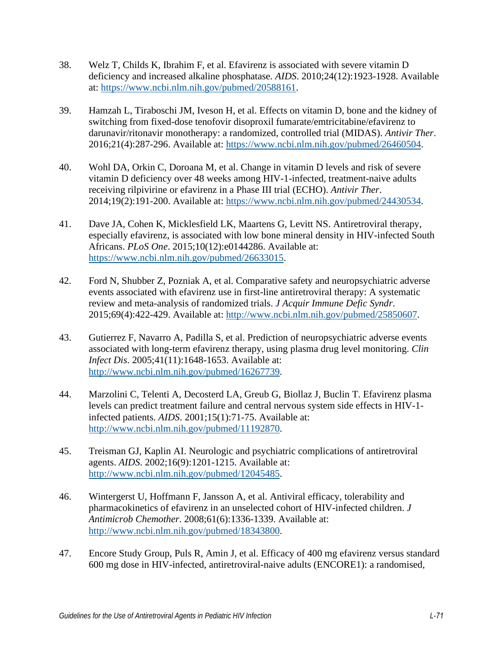- 38. Welz T, Childs K, Ibrahim F, et al. Efavirenz is associated with severe vitamin D deficiency and increased alkaline phosphatase. *AIDS*. 2010;24(12):1923-1928. Available at: [https://www.ncbi.nlm.nih.gov/pubmed/20588161.](https://www.ncbi.nlm.nih.gov/pubmed/20588161)
- 39. Hamzah L, Tiraboschi JM, Iveson H, et al. Effects on vitamin D, bone and the kidney of switching from fixed-dose tenofovir disoproxil fumarate/emtricitabine/efavirenz to darunavir/ritonavir monotherapy: a randomized, controlled trial (MIDAS). *Antivir Ther*. 2016;21(4):287-296. Available at: [https://www.ncbi.nlm.nih.gov/pubmed/26460504.](https://www.ncbi.nlm.nih.gov/pubmed/26460504)
- 40. Wohl DA, Orkin C, Doroana M, et al. Change in vitamin D levels and risk of severe vitamin D deficiency over 48 weeks among HIV-1-infected, treatment-naive adults receiving rilpivirine or efavirenz in a Phase III trial (ECHO). *Antivir Ther*. 2014;19(2):191-200. Available at: [https://www.ncbi.nlm.nih.gov/pubmed/24430534.](https://www.ncbi.nlm.nih.gov/pubmed/24430534)
- 41. Dave JA, Cohen K, Micklesfield LK, Maartens G, Levitt NS. Antiretroviral therapy, especially efavirenz, is associated with low bone mineral density in HIV-infected South Africans. *PLoS One*. 2015;10(12):e0144286. Available at: [https://www.ncbi.nlm.nih.gov/pubmed/26633015.](https://www.ncbi.nlm.nih.gov/pubmed/26633015)
- 42. Ford N, Shubber Z, Pozniak A, et al. Comparative safety and neuropsychiatric adverse events associated with efavirenz use in first-line antiretroviral therapy: A systematic review and meta-analysis of randomized trials. *J Acquir Immune Defic Syndr*. 2015;69(4):422-429. Available at: [http://www.ncbi.nlm.nih.gov/pubmed/25850607.](http://www.ncbi.nlm.nih.gov/pubmed/25850607)
- 43. Gutierrez F, Navarro A, Padilla S, et al. Prediction of neuropsychiatric adverse events associated with long-term efavirenz therapy, using plasma drug level monitoring. *Clin Infect Dis*. 2005;41(11):1648-1653. Available at: [http://www.ncbi.nlm.nih.gov/pubmed/16267739.](http://www.ncbi.nlm.nih.gov/pubmed/16267739)
- 44. Marzolini C, Telenti A, Decosterd LA, Greub G, Biollaz J, Buclin T. Efavirenz plasma levels can predict treatment failure and central nervous system side effects in HIV-1 infected patients. *AIDS*. 2001;15(1):71-75. Available at: [http://www.ncbi.nlm.nih.gov/pubmed/11192870.](http://www.ncbi.nlm.nih.gov/pubmed/11192870)
- 45. Treisman GJ, Kaplin AI. Neurologic and psychiatric complications of antiretroviral agents. *AIDS*. 2002;16(9):1201-1215. Available at: [http://www.ncbi.nlm.nih.gov/pubmed/12045485.](http://www.ncbi.nlm.nih.gov/pubmed/12045485)
- 46. Wintergerst U, Hoffmann F, Jansson A, et al. Antiviral efficacy, tolerability and pharmacokinetics of efavirenz in an unselected cohort of HIV-infected children. *J Antimicrob Chemother*. 2008;61(6):1336-1339. Available at: [http://www.ncbi.nlm.nih.gov/pubmed/18343800.](http://www.ncbi.nlm.nih.gov/pubmed/18343800)
- 47. Encore Study Group, Puls R, Amin J, et al. Efficacy of 400 mg efavirenz versus standard 600 mg dose in HIV-infected, antiretroviral-naive adults (ENCORE1): a randomised,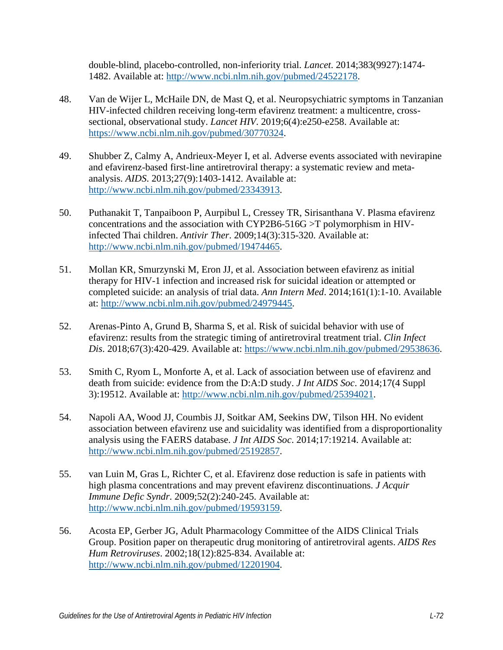double-blind, placebo-controlled, non-inferiority trial. *Lancet*. 2014;383(9927):1474- 1482. Available at: [http://www.ncbi.nlm.nih.gov/pubmed/24522178.](http://www.ncbi.nlm.nih.gov/pubmed/24522178)

- 48. Van de Wijer L, McHaile DN, de Mast Q, et al. Neuropsychiatric symptoms in Tanzanian HIV-infected children receiving long-term efavirenz treatment: a multicentre, crosssectional, observational study. *Lancet HIV*. 2019;6(4):e250-e258. Available at: [https://www.ncbi.nlm.nih.gov/pubmed/30770324.](https://www.ncbi.nlm.nih.gov/pubmed/30770324)
- 49. Shubber Z, Calmy A, Andrieux-Meyer I, et al. Adverse events associated with nevirapine and efavirenz-based first-line antiretroviral therapy: a systematic review and metaanalysis. *AIDS*. 2013;27(9):1403-1412. Available at: [http://www.ncbi.nlm.nih.gov/pubmed/23343913.](http://www.ncbi.nlm.nih.gov/pubmed/23343913)
- 50. Puthanakit T, Tanpaiboon P, Aurpibul L, Cressey TR, Sirisanthana V. Plasma efavirenz concentrations and the association with CYP2B6-516G >T polymorphism in HIVinfected Thai children. *Antivir Ther*. 2009;14(3):315-320. Available at: [http://www.ncbi.nlm.nih.gov/pubmed/19474465.](http://www.ncbi.nlm.nih.gov/pubmed/19474465)
- 51. Mollan KR, Smurzynski M, Eron JJ, et al. Association between efavirenz as initial therapy for HIV-1 infection and increased risk for suicidal ideation or attempted or completed suicide: an analysis of trial data. *Ann Intern Med*. 2014;161(1):1-10. Available at: [http://www.ncbi.nlm.nih.gov/pubmed/24979445.](http://www.ncbi.nlm.nih.gov/pubmed/24979445)
- 52. Arenas-Pinto A, Grund B, Sharma S, et al. Risk of suicidal behavior with use of efavirenz: results from the strategic timing of antiretroviral treatment trial. *Clin Infect Dis*. 2018;67(3):420-429. Available at: [https://www.ncbi.nlm.nih.gov/pubmed/29538636.](https://www.ncbi.nlm.nih.gov/pubmed/29538636)
- 53. Smith C, Ryom L, Monforte A, et al. Lack of association between use of efavirenz and death from suicide: evidence from the D:A:D study. *J Int AIDS Soc*. 2014;17(4 Suppl 3):19512. Available at: [http://www.ncbi.nlm.nih.gov/pubmed/25394021.](http://www.ncbi.nlm.nih.gov/pubmed/25394021)
- 54. Napoli AA, Wood JJ, Coumbis JJ, Soitkar AM, Seekins DW, Tilson HH. No evident association between efavirenz use and suicidality was identified from a disproportionality analysis using the FAERS database. *J Int AIDS Soc*. 2014;17:19214. Available at: [http://www.ncbi.nlm.nih.gov/pubmed/25192857.](http://www.ncbi.nlm.nih.gov/pubmed/25192857)
- 55. van Luin M, Gras L, Richter C, et al. Efavirenz dose reduction is safe in patients with high plasma concentrations and may prevent efavirenz discontinuations. *J Acquir Immune Defic Syndr*. 2009;52(2):240-245. Available at: [http://www.ncbi.nlm.nih.gov/pubmed/19593159.](http://www.ncbi.nlm.nih.gov/pubmed/19593159)
- 56. Acosta EP, Gerber JG, Adult Pharmacology Committee of the AIDS Clinical Trials Group. Position paper on therapeutic drug monitoring of antiretroviral agents. *AIDS Res Hum Retroviruses*. 2002;18(12):825-834. Available at: [http://www.ncbi.nlm.nih.gov/pubmed/12201904.](http://www.ncbi.nlm.nih.gov/pubmed/12201904)